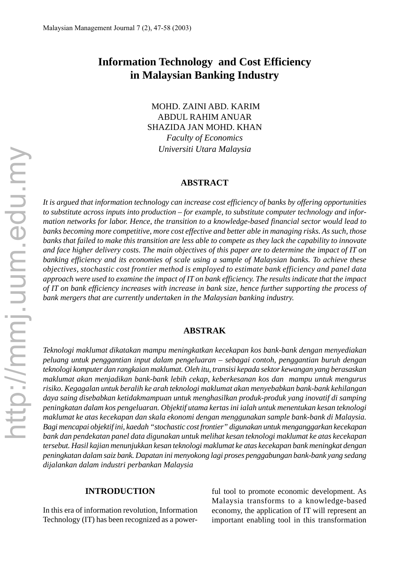# **Information Technology and Cost Efficiency in Malaysian Banking Industry**

 MOHD. ZAINI ABD. KARIM ABDUL RAHIM ANUAR SHAZIDA JAN MOHD. KHAN *Faculty of Economics Universiti Utara Malaysia*

#### **ABSTRACT**

*It is argued that information technology can increase cost efficiency of banks by offering opportunities to substitute across inputs into production – for example, to substitute computer technology and information networks for labor. Hence, the transition to a knowledge-based financial sector would lead to banks becoming more competitive, more cost effective and better able in managing risks. As such, those banks that failed to make this transition are less able to compete as they lack the capability to innovate and face higher delivery costs. The main objectives of this paper are to determine the impact of IT on banking efficiency and its economies of scale using a sample of Malaysian banks. To achieve these objectives, stochastic cost frontier method is employed to estimate bank efficiency and panel data approach were used to examine the impact of IT on bank efficiency. The results indicate that the impact of IT on bank efficiency increases with increase in bank size, hence further supporting the process of bank mergers that are currently undertaken in the Malaysian banking industry.*

#### **ABSTRAK**

*Teknologi maklumat dikatakan mampu meningkatkan kecekapan kos bank-bank dengan menyediakan peluang untuk penggantian input dalam pengeluaran – sebagai contoh, penggantian buruh dengan teknologi komputer dan rangkaian maklumat. Oleh itu, transisi kepada sektor kewangan yang berasaskan maklumat akan menjadikan bank-bank lebih cekap, keberkesanan kos dan mampu untuk mengurus risiko. Kegagalan untuk beralih ke arah teknologi maklumat akan menyebabkan bank-bank kehilangan daya saing disebabkan ketidakmampuan untuk menghasilkan produk-produk yang inovatif di samping peningkatan dalam kos pengeluaran. Objektif utama kertas ini ialah untuk menentukan kesan teknologi maklumat ke atas kecekapan dan skala ekonomi dengan menggunakan sample bank-bank di Malaysia. Bagi mencapai objektif ini, kaedah "stochastic cost frontier" digunakan untuk menganggarkan kecekapan bank dan pendekatan panel data digunakan untuk melihat kesan teknologi maklumat ke atas kecekapan tersebut. Hasil kajian menunjukkan kesan teknologi maklumat ke atas kecekapan bank meningkat dengan peningkatan dalam saiz bank. Dapatan ini menyokong lagi proses penggabungan bank-bank yang sedang dijalankan dalam industri perbankan Malaysia*

#### **INTRODUCTION**

In this era of information revolution, Information Technology (IT) has been recognized as a powerful tool to promote economic development. As Malaysia transforms to a knowledge-based economy, the application of IT will represent an important enabling tool in this transformation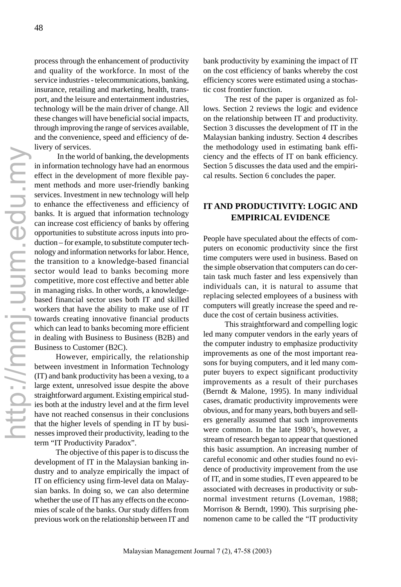process through the enhancement of productivity and quality of the workforce. In most of the service industries - telecommunications, banking, insurance, retailing and marketing, health, transport, and the leisure and entertainment industries, technology will be the main driver of change. All these changes will have beneficial social impacts, through improving the range of services available, and the convenience, speed and efficiency of delivery of services.

 In the world of banking, the developments in information technology have had an enormous effect in the development of more flexible payment methods and more user-friendly banking services. Investment in new technology will help to enhance the effectiveness and efficiency of banks. It is argued that information technology can increase cost efficiency of banks by offering opportunities to substitute across inputs into production – for example, to substitute computer technology and information networks for labor. Hence, the transition to a knowledge-based financial sector would lead to banks becoming more competitive, more cost effective and better able in managing risks. In other words, a knowledgebased financial sector uses both IT and skilled workers that have the ability to make use of IT towards creating innovative financial products which can lead to banks becoming more efficient in dealing with Business to Business (B2B) and Business to Customer (B2C).

However, empirically, the relationship between investment in Information Technology (IT) and bank productivity has been a vexing, to a large extent, unresolved issue despite the above straightforward argument. Existing empirical studies both at the industry level and at the firm level have not reached consensus in their conclusions that the higher levels of spending in IT by businesses improved their productivity, leading to the term "IT Productivity Paradox".

The objective of this paper is to discuss the development of IT in the Malaysian banking industry and to analyze empirically the impact of IT on efficiency using firm-level data on Malaysian banks. In doing so, we can also determine whether the use of IT has any effects on the economies of scale of the banks. Our study differs from previous work on the relationship between IT and bank productivity by examining the impact of IT on the cost efficiency of banks whereby the cost efficiency scores were estimated using a stochastic cost frontier function.

The rest of the paper is organized as follows. Section 2 reviews the logic and evidence on the relationship between IT and productivity. Section 3 discusses the development of IT in the Malaysian banking industry. Section 4 describes the methodology used in estimating bank efficiency and the effects of IT on bank efficiency. Section 5 discusses the data used and the empirical results. Section 6 concludes the paper.

# **IT AND PRODUCTIVITY: LOGIC AND EMPIRICAL EVIDENCE**

People have speculated about the effects of computers on economic productivity since the first time computers were used in business. Based on the simple observation that computers can do certain task much faster and less expensively than individuals can, it is natural to assume that replacing selected employees of a business with computers will greatly increase the speed and reduce the cost of certain business activities.

This straightforward and compelling logic led many computer vendors in the early years of the computer industry to emphasize productivity improvements as one of the most important reasons for buying computers, and it led many computer buyers to expect significant productivity improvements as a result of their purchases (Berndt & Malone, 1995). In many individual cases, dramatic productivity improvements were obvious, and for many years, both buyers and sellers generally assumed that such improvements were common. In the late 1980's, however, a stream of research began to appear that questioned this basic assumption. An increasing number of careful economic and other studies found no evidence of productivity improvement from the use of IT, and in some studies, IT even appeared to be associated with decreases in productivity or subnormal investment returns (Loveman, 1988; Morrison & Berndt, 1990). This surprising phenomenon came to be called the "IT productivity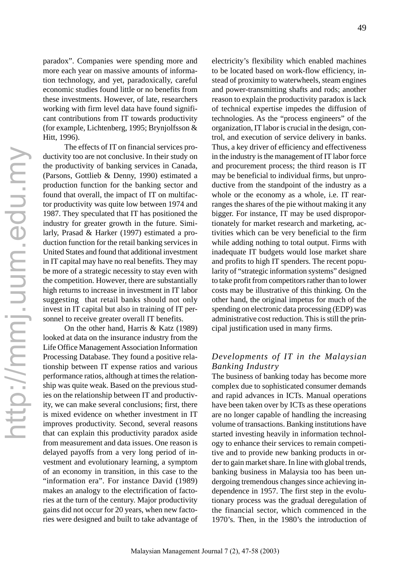paradox". Companies were spending more and more each year on massive amounts of information technology, and yet, paradoxically, careful economic studies found little or no benefits from these investments. However, of late, researchers working with firm level data have found significant contributions from IT towards productivity (for example, Lichtenberg, 1995; Brynjolfsson & Hitt, 1996).

The effects of IT on financial services productivity too are not conclusive. In their study on the productivity of banking services in Canada, (Parsons, Gottlieb & Denny, 1990) estimated a production function for the banking sector and found that overall, the impact of IT on multifactor productivity was quite low between 1974 and 1987. They speculated that IT has positioned the industry for greater growth in the future. Similarly, Prasad & Harker (1997) estimated a production function for the retail banking services in United States and found that additional investment in IT capital may have no real benefits. They may be more of a strategic necessity to stay even with the competition. However, there are substantially high returns to increase in investment in IT labor suggesting that retail banks should not only invest in IT capital but also in training of IT personnel to receive greater overall IT benefits.

On the other hand, Harris & Katz (1989) looked at data on the insurance industry from the Life Office Management Association Information Processing Database. They found a positive relationship between IT expense ratios and various performance ratios, although at times the relationship was quite weak. Based on the previous studies on the relationship between IT and productivity, we can make several conclusions; first, there is mixed evidence on whether investment in IT improves productivity. Second, several reasons that can explain this productivity paradox aside from measurement and data issues. One reason is delayed payoffs from a very long period of investment and evolutionary learning, a symptom of an economy in transition, in this case to the "information era". For instance David (1989) makes an analogy to the electrification of factories at the turn of the century. Major productivity gains did not occur for 20 years, when new factories were designed and built to take advantage of electricity's flexibility which enabled machines to be located based on work-flow efficiency, instead of proximity to waterwheels, steam engines and power-transmitting shafts and rods; another reason to explain the productivity paradox is lack of technical expertise impedes the diffusion of technologies. As the "process engineers" of the organization, IT labor is crucial in the design, control, and execution of service delivery in banks. Thus, a key driver of efficiency and effectiveness in the industry is the management of IT labor force and procurement process; the third reason is IT may be beneficial to individual firms, but unproductive from the standpoint of the industry as a whole or the economy as a whole, i.e. IT rearranges the shares of the pie without making it any bigger. For instance, IT may be used disproportionately for market research and marketing, activities which can be very beneficial to the firm while adding nothing to total output. Firms with inadequate IT budgets would lose market share and profits to high IT spenders. The recent popularity of "strategic information systems" designed to take profit from competitors rather than to lower costs may be illustrative of this thinking. On the other hand, the original impetus for much of the spending on electronic data processing (EDP) was administrative cost reduction. This is still the principal justification used in many firms.

### *Developments of IT in the Malaysian Banking Industry*

The business of banking today has become more complex due to sophisticated consumer demands and rapid advances in ICTs. Manual operations have been taken over by ICTs as these operations are no longer capable of handling the increasing volume of transactions. Banking institutions have started investing heavily in information technology to enhance their services to remain competitive and to provide new banking products in order to gain market share. In line with global trends, banking business in Malaysia too has been undergoing tremendous changes since achieving independence in 1957. The first step in the evolutionary process was the gradual deregulation of the financial sector, which commenced in the 1970's. Then, in the 1980's the introduction of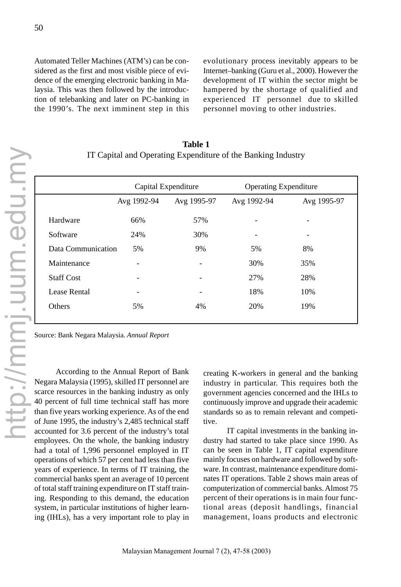Automated Teller Machines (ATM's) can be considered as the first and most visible piece of evidence of the emerging electronic banking in Malaysia. This was then followed by the introduction of telebanking and later on PC-banking in the 1990's. The next imminent step in this evolutionary process inevitably appears to be Internet–banking (Guru et al., 2000). However the development of IT within the sector might be hampered by the shortage of qualified and experienced IT personnel due to skilled personnel moving to other industries.

| <b>Table 1</b>                                               |  |
|--------------------------------------------------------------|--|
| IT Capital and Operating Expenditure of the Banking Industry |  |

|                     |             | Capital Expenditure | <b>Operating Expenditure</b> |             |  |
|---------------------|-------------|---------------------|------------------------------|-------------|--|
|                     | Avg 1992-94 | Avg 1995-97         | Avg 1992-94                  | Avg 1995-97 |  |
| Hardware            | 66%         | 57%                 |                              |             |  |
| Software            | 24%         | 30%                 |                              |             |  |
| Data Communication  | 5%          | 9%                  | 5%                           | 8%          |  |
| Maintenance         |             |                     | 30%                          | 35%         |  |
| <b>Staff Cost</b>   |             |                     | 27%                          | 28%         |  |
| <b>Lease Rental</b> |             |                     | 18%                          | 10%         |  |
| Others              | 5%          | 4%                  | 20%                          | 19%         |  |

Source: Bank Negara Malaysia. *Annual Report*

According to the Annual Report of Bank Negara Malaysia (1995), skilled IT personnel are scarce resources in the banking industry as only 40 percent of full time technical staff has more than five years working experience. As of the end of June 1995, the industry's 2,485 technical staff accounted for 3.6 percent of the industry's total employees. On the whole, the banking industry had a total of 1,996 personnel employed in IT operations of which 57 per cent had less than five years of experience. In terms of IT training, the commercial banks spent an average of 10 percent of total staff training expenditure on IT staff training. Responding to this demand, the education system, in particular institutions of higher learning (IHLs), has a very important role to play in

creating K-workers in general and the banking industry in particular. This requires both the government agencies concerned and the IHLs to continuously improve and upgrade their academic standards so as to remain relevant and competitive.

 IT capital investments in the banking industry had started to take place since 1990. As can be seen in Table 1, IT capital expenditure mainly focuses on hardware and followed by software. In contrast, maintenance expenditure dominates IT operations. Table 2 shows main areas of computerization of commercial banks. Almost 75 percent of their operations is in main four functional areas (deposit handlings, financial management, loans products and electronic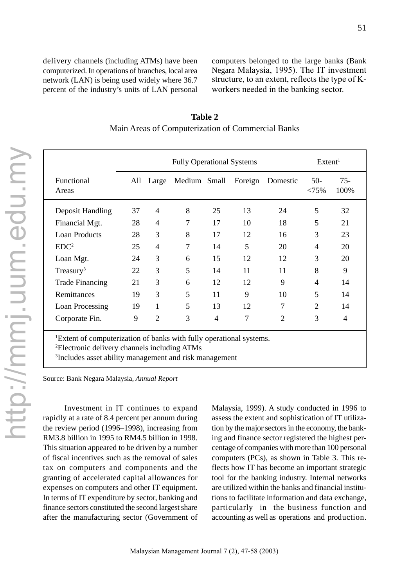delivery channels (including ATMs) have been computerized. In operations of branches, local area network (LAN) is being used widely where 36.7 percent of the industry's units of LAN personal computers belonged to the large banks (Bank Negara Malaysia, 1995). The IT investment structure, to an extent, reflects the type of Kworkers needed in the banking sector.

|                                                                                                                                                                                                                   | <b>Fully Operational Systems</b> |                |              |                |    |                  | Extent <sup>1</sup> |                |
|-------------------------------------------------------------------------------------------------------------------------------------------------------------------------------------------------------------------|----------------------------------|----------------|--------------|----------------|----|------------------|---------------------|----------------|
| Functional<br>Areas                                                                                                                                                                                               |                                  | All Large      | Medium Small |                |    | Foreign Domestic | $50-$<br>$< 75\%$   | $75 -$<br>100% |
| Deposit Handling                                                                                                                                                                                                  | 37                               | 4              | 8            | 25             | 13 | 24               | 5                   | 32             |
| Financial Mgt.                                                                                                                                                                                                    | 28                               | 4              | 7            | 17             | 10 | 18               | 5                   | 21             |
| <b>Loan Products</b>                                                                                                                                                                                              | 28                               | 3              | 8            | 17             | 12 | 16               | 3                   | 23             |
| EDC <sup>2</sup>                                                                                                                                                                                                  | 25                               | 4              | 7            | 14             | 5  | 20               | 4                   | 20             |
| Loan Mgt.                                                                                                                                                                                                         | 24                               | 3              | 6            | 15             | 12 | 12               | 3                   | 20             |
| $T$ reasury <sup>3</sup>                                                                                                                                                                                          | 22                               | 3              | 5            | 14             | 11 | 11               | 8                   | 9              |
| <b>Trade Financing</b>                                                                                                                                                                                            | 21                               | 3              | 6            | 12             | 12 | 9                | 4                   | 14             |
| Remittances                                                                                                                                                                                                       | 19                               | 3              | 5            | 11             | 9  | 10               | 5                   | 14             |
| Loan Processing                                                                                                                                                                                                   | 19                               | 1              | 5            | 13             | 12 | 7                | $\overline{2}$      | 14             |
| Corporate Fin.                                                                                                                                                                                                    | 9                                | $\mathfrak{D}$ | 3            | $\overline{4}$ | 7  | $\mathfrak{D}$   | 3                   | 4              |
| <sup>1</sup> Extent of computerization of banks with fully operational systems.<br><sup>2</sup> Electronic delivery channels including ATMs<br><sup>3</sup> Includes asset ability management and risk management |                                  |                |              |                |    |                  |                     |                |

**Table 2** Main Areas of Computerization of Commercial Banks

Source: Bank Negara Malaysia, *Annual Report*

Investment in IT continues to expand rapidly at a rate of 8.4 percent per annum during the review period (1996–1998), increasing from RM3.8 billion in 1995 to RM4.5 billion in 1998. This situation appeared to be driven by a number of fiscal incentives such as the removal of sales tax on computers and components and the granting of accelerated capital allowances for expenses on computers and other IT equipment. In terms of IT expenditure by sector, banking and finance sectors constituted the second largest share after the manufacturing sector (Government of Malaysia, 1999). A study conducted in 1996 to assess the extent and sophistication of IT utilization by the major sectors in the economy, the banking and finance sector registered the highest percentage of companies with more than 100 personal computers (PCs), as shown in Table 3. This reflects how IT has become an important strategic tool for the banking industry. Internal networks are utilized within the banks and financial institutions to facilitate information and data exchange, particularly in the business function and accounting as well as operations and production.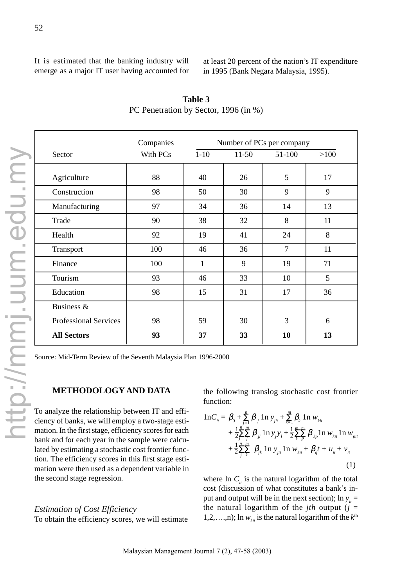It is estimated that the banking industry will emerge as a major IT user having accounted for at least 20 percent of the nation's IT expenditure in 1995 (Bank Negara Malaysia, 1995).

|          |              | Number of PCs per company |                |      |
|----------|--------------|---------------------------|----------------|------|
| With PCs | $1 - 10$     | $11-50$                   | 51-100         | >100 |
| 88       | 40           | 26                        | 5              | 17   |
| 98       | 50           | 30                        | 9              | 9    |
| 97       | 34           | 36                        | 14             | 13   |
| 90       | 38           | 32                        | 8              | 11   |
| 92       | 19           | 41                        | 24             | 8    |
| 100      | 46           | 36                        | $\overline{7}$ | 11   |
| 100      | $\mathbf{1}$ | 9                         | 19             | 71   |
| 93       | 46           | 33                        | 10             | 5    |
| 98       | 15           | 31                        | 17             | 36   |
|          |              |                           |                |      |
| 98       | 59           | 30                        | 3              | 6    |
| 93       | 37           | 33                        | 10             | 13   |
|          |              |                           |                |      |

**Table 3** PC Penetration by Sector, 1996 (in %)

#### **METHODOLOGY AND DATA**

To analyze the relationship between IT and efficiency of banks, we will employ a two-stage estimation. In the first stage, efficiency scores for each bank and for each year in the sample were calculated by estimating a stochastic cost frontier function. The efficiency scores in this first stage estimation were then used as a dependent variable in the second stage regression.

#### *Estimation of Cost Efficiency*

To obtain the efficiency scores, we will estimate

$$
1nC_{ii} = \beta_0 + \sum_{j=1}^{n} \beta_j 1n y_{jit} + \sum_{k=1}^{m} \beta_k 1n w_{ki} + \frac{1}{2} \sum_{j=1}^{n} \beta_j 1n y_j y_i + \frac{1}{2} \sum_{k}^{m} \sum_{p}^{m} \beta_{kp} 1n w_{ki} 1n w_{pit} + \frac{1}{2} \sum_{j}^{n} \sum_{k}^{m} \beta_{jk} 1n y_{jit} 1n w_{ki} + \beta_q t + u_{it} + v_{it}
$$
\n(1)

where  $\ln C_i$  is the natural logarithm of the total cost (discussion of what constitutes a bank's input and output will be in the next section);  $\ln y_i =$ the natural logarithm of the *jth* output  $(j =$ 1,2,...,n); ln  $w_{ki}$  is the natural logarithm of the  $k^{\text{th}}$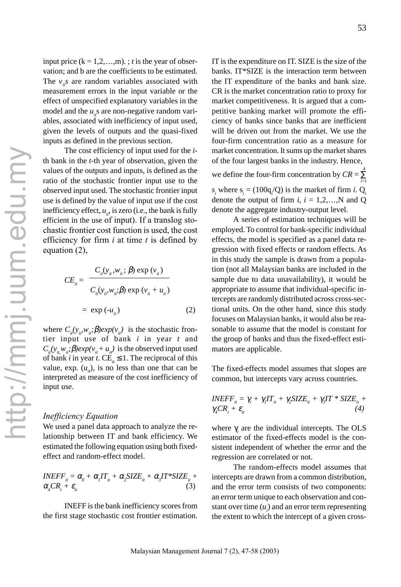input price  $(k = 1, 2, \ldots, m)$ . ; *t* is the year of observation; and b are the coefficients to be estimated. The  $v_i$  are random variables associated with measurement errors in the input variable or the effect of unspecified explanatory variables in the model and the *u*<sub>1</sub>s are non-negative random variables, associated with inefficiency of input used, given the levels of outputs and the quasi-fixed inputs as defined in the previous section.

The cost efficiency of input used for the *i*th bank in the *t*-th year of observation, given the values of the outputs and inputs, is defined as the ratio of the stochastic frontier input use to the observed input used. The stochastic frontier input use is defined by the value of input use if the cost inefficiency effect,  $u_{i}$ , is zero (i.e., the bank is fully efficient in the use of input). If a translog stochastic frontier cost function is used, the cost efficiency for firm *i* at time *t* is defined by equation (2),

$$
CE_{ii} = \frac{C_{ii}(y_{ii}, w_{ii}; \beta) \exp(v_{ii})}{C_{ii}(y_{ii}, w_{ii}; \beta) \exp(v_{ii} + u_{ii})}
$$

$$
= \exp(-u_{ii})
$$
(2)

where  $C_i(y_i, w_i; \beta)exp(v_i)$  is the stochastic frontier input use of bank *i* in year *t* and  $C_i(y_i, w_i; \beta)$ *exp*( $v_i + u_i$ ) is the observed input used of bank *i* in year *t*. CE<sub>i</sub>  $\leq$  1. The reciprocal of this value, exp.  $(u_i)$ , is no less than one that can be interpreted as measure of the cost inefficiency of input use.

#### *Inefficiency Equation*

We used a panel data approach to analyze the relationship between IT and bank efficiency. We estimated the following equation using both fixedeffect and random-effect model.

$$
INEFF_{ii} = \alpha_0 + \alpha_i IT_{ii} + \alpha_2 SIZE_{ii} + \alpha_3 IT^*SIZE_{ii} + \alpha_4 CR_i + \varepsilon_{ii}
$$
\n(3)

INEFF is the bank inefficiency scores from the first stage stochastic cost frontier estimation. IT is the expenditure on IT. SIZE is the size of the banks. IT\*SIZE is the interaction term between the IT expenditure of the banks and bank size. CR is the market concentration ratio to proxy for market competitiveness. It is argued that a competitive banking market will promote the efficiency of banks since banks that are inefficient will be driven out from the market. We use the four-firm concentration ratio as a measure for market concentration. It sums up the market shares of the four largest banks in the industry. Hence,

we define the four-firm concentration by  $CR = \sum_{n=1}^{4}$  $s_i$  where  $s_i = (100q_i/Q)$  is the market of firm *i*. Q<sub>i</sub> denote the output of firm  $i, i = 1, 2, \ldots, N$  and Q denote the aggregate industry-output level. *i*=1

A series of estimation techniques will be employed. To control for bank-specific individual effects, the model is specified as a panel data regression with fixed effects or random effects. As in this study the sample is drawn from a population (not all Malaysian banks are included in the sample due to data unavailability), it would be appropriate to assume that individual-specific intercepts are randomly distributed across cross-sectional units. On the other hand, since this study focuses on Malaysian banks, it would also be reasonable to assume that the model is constant for the group of banks and thus the fixed-effect estimators are applicable.

The fixed-effects model assumes that slopes are common, but intercepts vary across countries.

$$
INEFF_{ii} = \gamma_i + \gamma_i IT_{ii} + \gamma_2 SIZE_{ii} + \gamma_3 IT * SIZE_{ii} + \gamma_4 CR_i + \varepsilon_{ii}
$$
\n(4)

where  $\gamma$ <sub>i</sub> are the individual intercepts. The OLS estimator of the fixed-effects model is the consistent independent of whether the error and the regression are correlated or not.

The random-effects model assumes that intercepts are drawn from a common distribution, and the error term consists of two components: an error term unique to each observation and constant over time  $(u_i)$  and an error term representing the extent to which the intercept of a given cross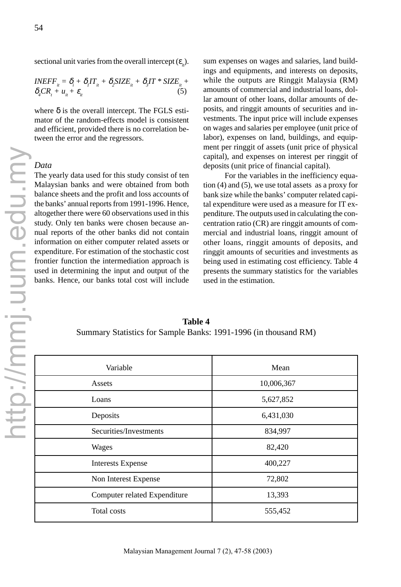sectional unit varies from the overall intercept  $(\varepsilon_{i}^{\text{}})$ .

$$
INEFF_{ii} = \delta_i + \delta_i IT_{ii} + \delta_2 SIZE_{ii} + \delta_i IT * SIZE_{ii} + \delta_i CR_i + u_{ii} + \varepsilon_{ii}
$$
\n(5)

where  $\delta$  is the overall intercept. The FGLS estimator of the random-effects model is consistent and efficient, provided there is no correlation between the error and the regressors.

#### *Data*

The yearly data used for this study consist of ten Malaysian banks and were obtained from both balance sheets and the profit and loss accounts of the banks' annual reports from 1991-1996. Hence, altogether there were 60 observations used in this study. Only ten banks were chosen because annual reports of the other banks did not contain information on either computer related assets or expenditure. For estimation of the stochastic cost frontier function the intermediation approach is used in determining the input and output of the banks. Hence, our banks total cost will include

sum expenses on wages and salaries, land buildings and equipments, and interests on deposits, while the outputs are Ringgit Malaysia (RM) amounts of commercial and industrial loans, dollar amount of other loans, dollar amounts of deposits, and ringgit amounts of securities and investments. The input price will include expenses on wages and salaries per employee (unit price of labor), expenses on land, buildings, and equipment per ringgit of assets (unit price of physical capital), and expenses on interest per ringgit of deposits (unit price of financial capital).

For the variables in the inefficiency equation (4) and (5), we use total assets as a proxy for bank size while the banks' computer related capital expenditure were used as a measure for IT expenditure. The outputs used in calculating the concentration ratio (CR) are ringgit amounts of commercial and industrial loans, ringgit amount of other loans, ringgit amounts of deposits, and ringgit amounts of securities and investments as being used in estimating cost efficiency. Table 4 presents the summary statistics for the variables used in the estimation.

**Table 4** Summary Statistics for Sample Banks: 1991-1996 (in thousand RM)

| Variable                     | Mean       |
|------------------------------|------------|
| Assets                       | 10,006,367 |
| Loans                        | 5,627,852  |
| Deposits                     | 6,431,030  |
| Securities/Investments       | 834,997    |
| Wages                        | 82,420     |
| <b>Interests Expense</b>     | 400,227    |
| Non Interest Expense         | 72,802     |
| Computer related Expenditure | 13,393     |
| Total costs                  | 555,452    |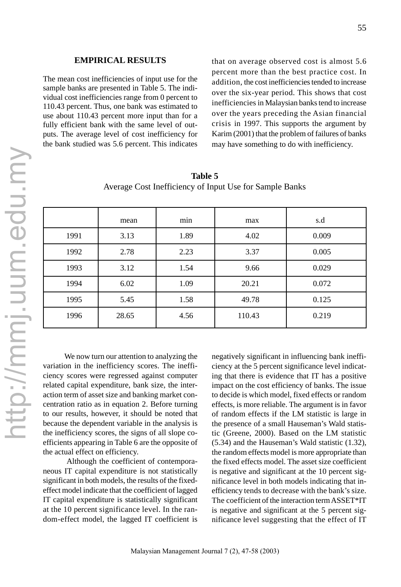#### **EMPIRICAL RESULTS**

The mean cost inefficiencies of input use for the sample banks are presented in Table 5. The individual cost inefficiencies range from 0 percent to 110.43 percent. Thus, one bank was estimated to use about 110.43 percent more input than for a fully efficient bank with the same level of outputs. The average level of cost inefficiency for the bank studied was 5.6 percent. This indicates that on average observed cost is almost 5.6 percent more than the best practice cost. In addition, the cost inefficiencies tended to increase over the six-year period. This shows that cost inefficiencies in Malaysian banks tend to increase over the years preceding the Asian financial crisis in 1997. This supports the argument by Karim (2001) that the problem of failures of banks may have something to do with inefficiency.

|      | mean  | min  | max    | s.d   |
|------|-------|------|--------|-------|
| 1991 | 3.13  | 1.89 | 4.02   | 0.009 |
| 1992 | 2.78  | 2.23 | 3.37   | 0.005 |
| 1993 | 3.12  | 1.54 | 9.66   | 0.029 |
| 1994 | 6.02  | 1.09 | 20.21  | 0.072 |
| 1995 | 5.45  | 1.58 | 49.78  | 0.125 |
| 1996 | 28.65 | 4.56 | 110.43 | 0.219 |

**Table 5** Average Cost Inefficiency of Input Use for Sample Banks

We now turn our attention to analyzing the variation in the inefficiency scores. The inefficiency scores were regressed against computer related capital expenditure, bank size, the interaction term of asset size and banking market concentration ratio as in equation 2. Before turning to our results, however, it should be noted that because the dependent variable in the analysis is the inefficiency scores, the signs of all slope coefficients appearing in Table 6 are the opposite of the actual effect on efficiency.

 Although the coefficient of contemporaneous IT capital expenditure is not statistically significant in both models, the results of the fixedeffect model indicate that the coefficient of lagged IT capital expenditure is statistically significant at the 10 percent significance level. In the random-effect model, the lagged IT coefficient is negatively significant in influencing bank inefficiency at the 5 percent significance level indicating that there is evidence that IT has a positive impact on the cost efficiency of banks. The issue to decide is which model, fixed effects or random effects, is more reliable. The argument is in favor of random effects if the LM statistic is large in the presence of a small Hauseman's Wald statistic (Greene, 2000). Based on the LM statistic (5.34) and the Hauseman's Wald statistic (1.32), the random effects model is more appropriate than the fixed effects model. The asset size coefficient is negative and significant at the 10 percent significance level in both models indicating that inefficiency tends to decrease with the bank's size. The coefficient of the interaction term ASSET\*IT is negative and significant at the 5 percent significance level suggesting that the effect of IT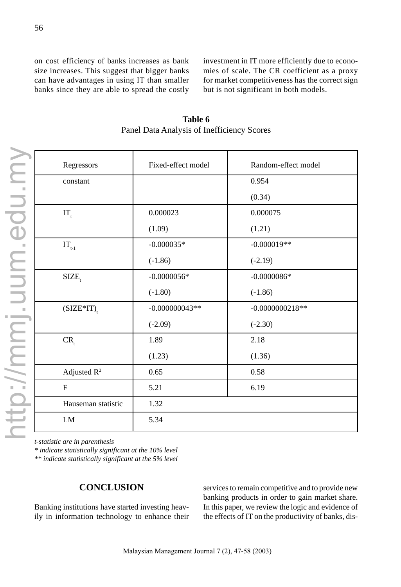on cost efficiency of banks increases as bank size increases. This suggest that bigger banks can have advantages in using IT than smaller banks since they are able to spread the costly investment in IT more efficiently due to economies of scale. The CR coefficient as a proxy for market competitiveness has the correct sign but is not significant in both models.

| Regressors                                  | Fixed-effect model | Random-effect model |
|---------------------------------------------|--------------------|---------------------|
| constant                                    |                    | 0.954               |
|                                             |                    | (0.34)              |
| $IT_{t}$                                    | 0.000023           | 0.000075            |
|                                             | (1.09)             | (1.21)              |
| $\text{IT}_{\scriptscriptstyle \text{t-1}}$ | $-0.000035*$       | $-0.000019**$       |
|                                             | $(-1.86)$          | $(-2.19)$           |
| SIZE <sub>,</sub>                           | $-0.0000056*$      | $-0.0000086*$       |
|                                             | $(-1.80)$          | $(-1.86)$           |
| $(SIZE*IT)$ <sub>r</sub>                    | $-0.000000043**$   | $-0.0000000218**$   |
|                                             | $(-2.09)$          | $(-2.30)$           |
| $CR_{t}$                                    | 1.89               | 2.18                |
|                                             | (1.23)             | (1.36)              |
| Adjusted $R^2$                              | 0.65               | 0.58                |
| $\mathbf F$                                 | 5.21               | 6.19                |
| Hauseman statistic                          | 1.32               |                     |
| LM                                          | 5.34               |                     |

**Table 6** Panel Data Analysis of Inefficiency Scores

*t-statistic are in parenthesis*

*\* indicate statistically significant at the 10% level*

*\*\* indicate statistically significant at the 5% level*

## **CONCLUSION**

Banking institutions have started investing heavily in information technology to enhance their services to remain competitive and to provide new banking products in order to gain market share. In this paper, we review the logic and evidence of the effects of IT on the productivity of banks, dis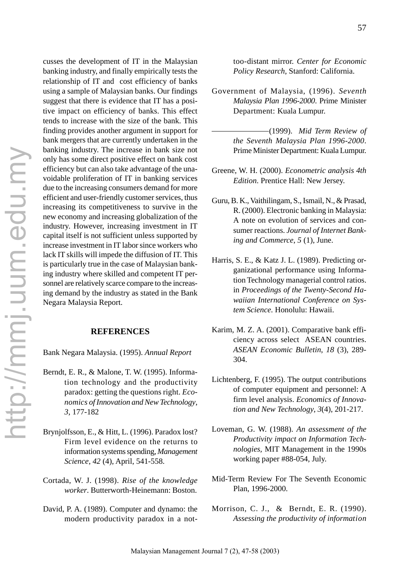cusses the development of IT in the Malaysian banking industry, and finally empirically tests the relationship of IT and cost efficiency of banks using a sample of Malaysian banks. Our findings suggest that there is evidence that IT has a positive impact on efficiency of banks. This effect tends to increase with the size of the bank. This finding provides another argument in support for bank mergers that are currently undertaken in the banking industry. The increase in bank size not only has some direct positive effect on bank cost efficiency but can also take advantage of the unavoidable proliferation of IT in banking services due to the increasing consumers demand for more efficient and user-friendly customer services, thus increasing its competitiveness to survive in the new economy and increasing globalization of the industry. However, increasing investment in IT capital itself is not sufficient unless supported by increase investment in IT labor since workers who lack IT skills will impede the diffusion of IT. This is particularly true in the case of Malaysian banking industry where skilled and competent IT personnel are relatively scarce compare to the increasing demand by the industry as stated in the Bank Negara Malaysia Report.

#### **REFERENCES**

Bank Negara Malaysia. (1995). *Annual Report*

- Berndt, E. R., & Malone, T. W. (1995). Information technology and the productivity paradox: getting the questions right. *Economics of Innovation and New Technology*, *3*, 177-182
- Brynjolfsson, E., & Hitt, L. (1996). Paradox lost? Firm level evidence on the returns to information systems spending, *Management Science*, *42* (4), April, 541-558.
- Cortada, W. J. (1998). *Rise of the knowledge worker*. Butterworth-Heinemann: Boston.
- David, P. A. (1989). Computer and dynamo: the modern productivity paradox in a not-

too-distant mirror. *Center for Economic Policy Research*, Stanford: California.

- Government of Malaysia, (1996). *Seventh Malaysia Plan 1996-2000*. Prime Minister Department: Kuala Lumpur.
	- (1999). *Mid Term Review of the Seventh Malaysia Plan 1996-2000*. Prime Minister Department: Kuala Lumpur.
- Greene, W. H. (2000). *Econometric analysis 4th Edition*. Prentice Hall: New Jersey.
- Guru, B. K., Vaithilingam, S., Ismail, N., & Prasad, R. (2000). Electronic banking in Malaysia: A note on evolution of services and consumer reactions. *Journal of Internet Banking and Commerce*, *5* (1), June.
- Harris, S. E., & Katz J. L. (1989). Predicting organizational performance using Information Technology managerial control ratios. in *Proceedings of the Twenty-Second Hawaiian International Conference on System Science*. Honolulu: Hawaii.
- Karim, M. Z. A. (2001). Comparative bank efficiency across select ASEAN countries. *ASEAN Economic Bulletin*, *18* (3), 289- 304.
- Lichtenberg, F. (1995). The output contributions of computer equipment and personnel: A firm level analysis. *Economics of Innovation and New Technology*, *3*(4), 201-217.
- Loveman, G. W. (1988). *An assessment of the Productivity impact on Information Technologies,* MIT Management in the 1990s working paper #88-054, July.
- Mid-Term Review For The Seventh Economic Plan, 1996-2000.
- Morrison, C. J., & Berndt, E. R. (1990). *Assessing the productivity of information*